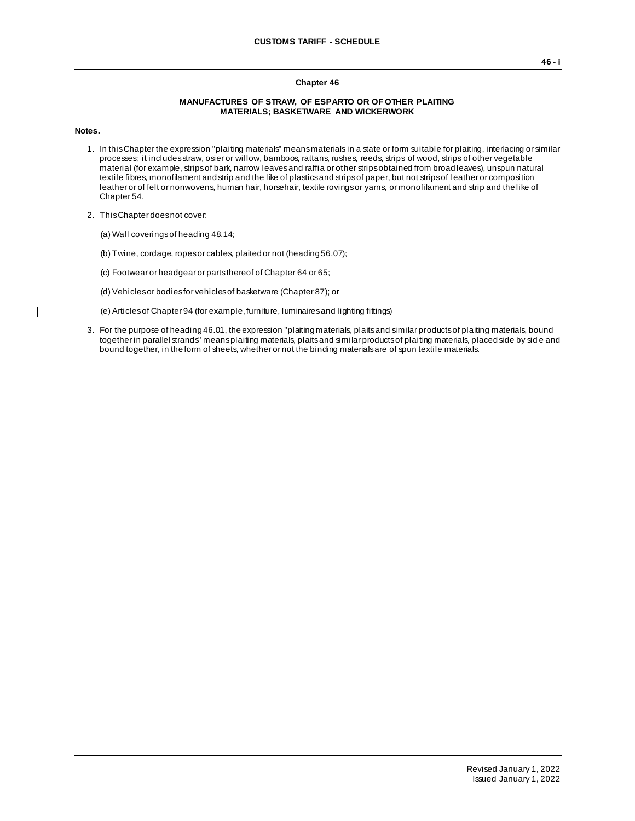## **Chapter 46**

## **MANUFACTURES OF STRAW, OF ESPARTO OR OF OTHER PLAITING MATERIALS; BASKETWARE AND WICKERWORK**

**Notes.**

 $\mathbf{I}$ 

- 1. In this Chapter the expression "plaiting materials" means materials in a state or form suitable for plaiting, interlacing or similar processes; it includes straw, osier or willow, bamboos, rattans, rushes, reeds, strips of wood, strips of other vegetable material (for example, strips of bark, narrow leaves and raffia or other strips obtained from broad leaves), unspun natural textile fibres, monofilament and strip and the like of plastics and strips of paper, but not strips of leather or composition leather or of felt or nonwovens, human hair, horsehair, textile rovings or yarns, or monofilament and strip and the like of Chapter 54.
- 2. This Chapter does not cover:
	- (a) Wall coverings of heading 48.14;
	- (b) Twine, cordage, ropes or cables, plaited or not (heading 56.07);
	- (c) Footwear or headgear or parts thereof of Chapter 64 or 65;
	- (d) Vehicles or bodies for vehicles of basketware (Chapter 87); or
	- (e) Articles of Chapter 94 (for example, furniture, luminaires and lighting fittings)
- 3. For the purpose of heading 46.01, the expression "plaiting materials, plaits and similar products of plaiting materials, bound together in parallel strands" means plaiting materials, plaits and similar products of plaiting materials, placed side by sid e and bound together, in the form of sheets, whether or not the binding materials are of spun textile materials.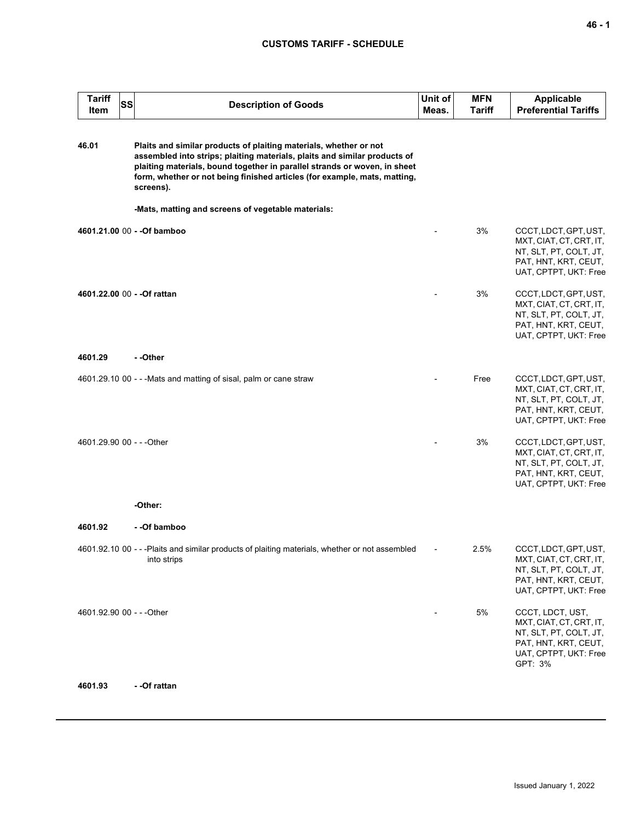## **CUSTOMS TARIFF - SCHEDULE**

| <b>Tariff</b><br>Item     | <b>SS</b> | <b>Description of Goods</b>                                                                                                                                                                                                                                                                                           | Unit of<br>Meas. | <b>MFN</b><br><b>Tariff</b> | <b>Applicable</b><br><b>Preferential Tariffs</b>                                                                                  |
|---------------------------|-----------|-----------------------------------------------------------------------------------------------------------------------------------------------------------------------------------------------------------------------------------------------------------------------------------------------------------------------|------------------|-----------------------------|-----------------------------------------------------------------------------------------------------------------------------------|
| 46.01                     |           | Plaits and similar products of plaiting materials, whether or not<br>assembled into strips; plaiting materials, plaits and similar products of<br>plaiting materials, bound together in parallel strands or woven, in sheet<br>form, whether or not being finished articles (for example, mats, matting,<br>screens). |                  |                             |                                                                                                                                   |
|                           |           | -Mats, matting and screens of vegetable materials:                                                                                                                                                                                                                                                                    |                  |                             |                                                                                                                                   |
|                           |           | 4601.21.00 00 - - Of bamboo                                                                                                                                                                                                                                                                                           |                  | 3%                          | CCCT, LDCT, GPT, UST,<br>MXT, CIAT, CT, CRT, IT,<br>NT, SLT, PT, COLT, JT,<br>PAT, HNT, KRT, CEUT,<br>UAT, CPTPT, UKT: Free       |
|                           |           | 4601.22.00 00 - - Of rattan                                                                                                                                                                                                                                                                                           |                  | 3%                          | CCCT, LDCT, GPT, UST,<br>MXT, CIAT, CT, CRT, IT,<br>NT, SLT, PT, COLT, JT,<br>PAT, HNT, KRT, CEUT,<br>UAT, CPTPT, UKT: Free       |
| 4601.29                   |           | - -Other                                                                                                                                                                                                                                                                                                              |                  |                             |                                                                                                                                   |
|                           |           | 4601.29.10 00 - - - Mats and matting of sisal, palm or cane straw                                                                                                                                                                                                                                                     |                  | Free                        | CCCT, LDCT, GPT, UST,<br>MXT, CIAT, CT, CRT, IT,<br>NT, SLT, PT, COLT, JT,<br>PAT, HNT, KRT, CEUT,<br>UAT, CPTPT, UKT: Free       |
| 4601.29.90 00 - - - Other |           |                                                                                                                                                                                                                                                                                                                       |                  | 3%                          | CCCT, LDCT, GPT, UST,<br>MXT, CIAT, CT, CRT, IT,<br>NT, SLT, PT, COLT, JT,<br>PAT, HNT, KRT, CEUT,<br>UAT, CPTPT, UKT: Free       |
|                           |           | -Other:                                                                                                                                                                                                                                                                                                               |                  |                             |                                                                                                                                   |
| 4601.92                   |           | - -Of bamboo                                                                                                                                                                                                                                                                                                          |                  |                             |                                                                                                                                   |
|                           |           | 4601.92.10 00 - - - Plaits and similar products of plaiting materials, whether or not assembled<br>into strips                                                                                                                                                                                                        |                  | 2.5%                        | CCCT, LDCT, GPT, UST,<br>MXT, CIAT, CT, CRT, IT,<br>NT, SLT, PT, COLT, JT,<br>PAT, HNT, KRT, CEUT,<br>UAT, CPTPT, UKT: Free       |
| 4601.92.90 00 - - - Other |           |                                                                                                                                                                                                                                                                                                                       |                  | 5%                          | CCCT, LDCT, UST,<br>MXT, CIAT, CT, CRT, IT,<br>NT, SLT, PT, COLT, JT,<br>PAT, HNT, KRT, CEUT,<br>UAT, CPTPT, UKT: Free<br>GPT: 3% |
| 4601.93                   |           | - - Of rattan                                                                                                                                                                                                                                                                                                         |                  |                             |                                                                                                                                   |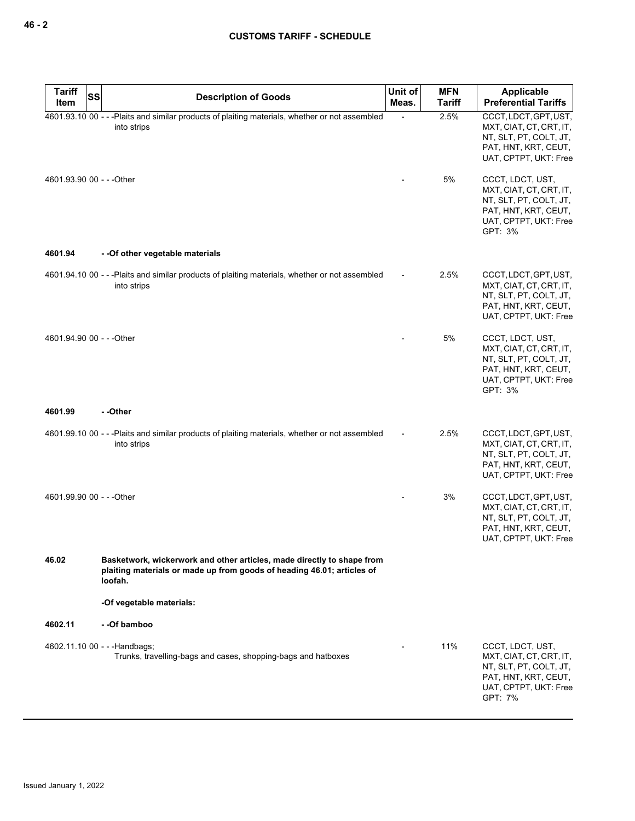| <b>Tariff</b><br><b>SS</b> | <b>Description of Goods</b>                                                                                                                                 | Unit of | <b>MFN</b>    | Applicable                                                                                                                        |
|----------------------------|-------------------------------------------------------------------------------------------------------------------------------------------------------------|---------|---------------|-----------------------------------------------------------------------------------------------------------------------------------|
| Item                       |                                                                                                                                                             | Meas.   | <b>Tariff</b> | <b>Preferential Tariffs</b>                                                                                                       |
|                            | 4601.93.10 00 - - - Plaits and similar products of plaiting materials, whether or not assembled<br>into strips                                              |         | 2.5%          | CCCT, LDCT, GPT, UST,<br>MXT, CIAT, CT, CRT, IT,<br>NT, SLT, PT, COLT, JT,<br>PAT, HNT, KRT, CEUT,<br>UAT, CPTPT, UKT: Free       |
| 4601.93.90 00 - - - Other  |                                                                                                                                                             |         | 5%            | CCCT, LDCT, UST,<br>MXT, CIAT, CT, CRT, IT,<br>NT, SLT, PT, COLT, JT,<br>PAT, HNT, KRT, CEUT,<br>UAT, CPTPT, UKT: Free<br>GPT: 3% |
| 4601.94                    | - - Of other vegetable materials                                                                                                                            |         |               |                                                                                                                                   |
|                            | 4601.94.10 00 - - - Plaits and similar products of plaiting materials, whether or not assembled<br>into strips                                              |         | 2.5%          | CCCT, LDCT, GPT, UST,<br>MXT, CIAT, CT, CRT, IT,<br>NT, SLT, PT, COLT, JT,<br>PAT, HNT, KRT, CEUT,<br>UAT, CPTPT, UKT: Free       |
| 4601.94.90 00 - - - Other  |                                                                                                                                                             |         | 5%            | CCCT, LDCT, UST,<br>MXT, CIAT, CT, CRT, IT,<br>NT, SLT, PT, COLT, JT,<br>PAT, HNT, KRT, CEUT,<br>UAT, CPTPT, UKT: Free<br>GPT: 3% |
| 4601.99                    | - -Other                                                                                                                                                    |         |               |                                                                                                                                   |
|                            | 4601.99.10 00 - - -Plaits and similar products of plaiting materials, whether or not assembled<br>into strips                                               |         | 2.5%          | CCCT, LDCT, GPT, UST,<br>MXT, CIAT, CT, CRT, IT,<br>NT, SLT, PT, COLT, JT,<br>PAT, HNT, KRT, CEUT,<br>UAT, CPTPT, UKT: Free       |
| 4601.99.90 00 - - - Other  |                                                                                                                                                             |         | 3%            | CCCT, LDCT, GPT, UST,<br>MXT, CIAT, CT, CRT, IT,<br>NT, SLT, PT, COLT, JT,<br>PAT, HNT, KRT, CEUT,<br>UAT, CPTPT, UKT: Free       |
| 46.02                      | Basketwork, wickerwork and other articles, made directly to shape from<br>plaiting materials or made up from goods of heading 46.01; articles of<br>loofah. |         |               |                                                                                                                                   |
|                            | -Of vegetable materials:                                                                                                                                    |         |               |                                                                                                                                   |
| 4602.11                    | - -Of bamboo                                                                                                                                                |         |               |                                                                                                                                   |
|                            | 4602.11.10 00 - - - Handbags;<br>Trunks, travelling-bags and cases, shopping-bags and hatboxes                                                              |         | 11%           | CCCT, LDCT, UST,<br>MXT, CIAT, CT, CRT, IT,<br>NT, SLT, PT, COLT, JT,<br>PAT, HNT, KRT, CEUT,<br>UAT, CPTPT, UKT: Free<br>GPT: 7% |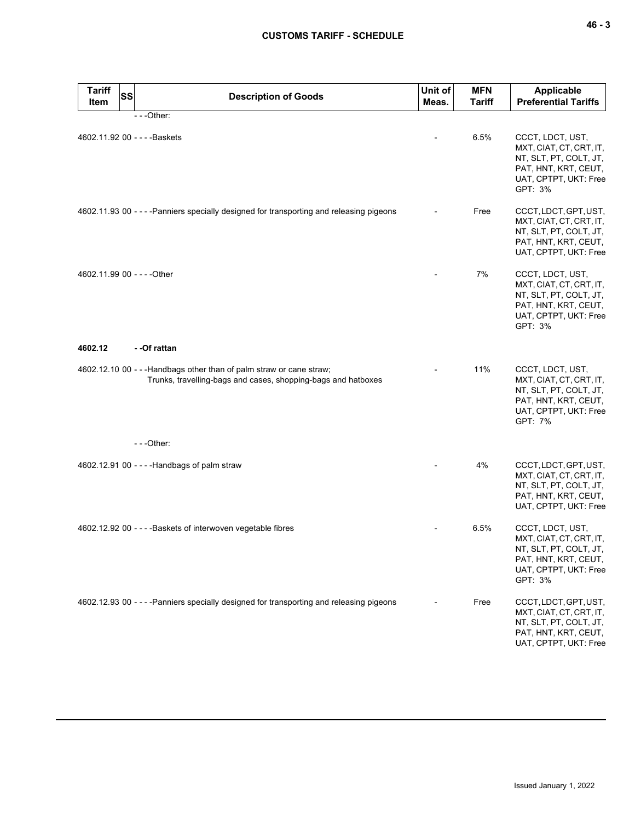| <b>Tariff</b><br><b>SS</b><br>Item | <b>Description of Goods</b>                                                                                                           | Unit of<br>Meas. | <b>MFN</b><br><b>Tariff</b> | <b>Applicable</b><br><b>Preferential Tariffs</b>                                                                                  |
|------------------------------------|---------------------------------------------------------------------------------------------------------------------------------------|------------------|-----------------------------|-----------------------------------------------------------------------------------------------------------------------------------|
|                                    | ---Other:                                                                                                                             |                  |                             |                                                                                                                                   |
| 4602.11.92 00 - - - - Baskets      |                                                                                                                                       |                  | 6.5%                        | CCCT, LDCT, UST,<br>MXT, CIAT, CT, CRT, IT,<br>NT, SLT, PT, COLT, JT,<br>PAT, HNT, KRT, CEUT,<br>UAT, CPTPT, UKT: Free<br>GPT: 3% |
|                                    | 4602.11.93 00 - - - - Panniers specially designed for transporting and releasing pigeons                                              |                  | Free                        | CCCT, LDCT, GPT, UST,<br>MXT, CIAT, CT, CRT, IT,<br>NT, SLT, PT, COLT, JT,<br>PAT, HNT, KRT, CEUT,<br>UAT, CPTPT, UKT: Free       |
| 4602.11.99 00 - - - - Other        |                                                                                                                                       |                  | 7%                          | CCCT, LDCT, UST,<br>MXT, CIAT, CT, CRT, IT,<br>NT, SLT, PT, COLT, JT,<br>PAT, HNT, KRT, CEUT,<br>UAT, CPTPT, UKT: Free<br>GPT: 3% |
| 4602.12                            | - -Of rattan                                                                                                                          |                  |                             |                                                                                                                                   |
|                                    | 4602.12.10 00 - - - Handbags other than of palm straw or cane straw;<br>Trunks, travelling-bags and cases, shopping-bags and hatboxes |                  | 11%                         | CCCT, LDCT, UST,<br>MXT, CIAT, CT, CRT, IT,<br>NT, SLT, PT, COLT, JT,<br>PAT, HNT, KRT, CEUT,<br>UAT, CPTPT, UKT: Free<br>GPT: 7% |
|                                    | ---Other:                                                                                                                             |                  |                             |                                                                                                                                   |
|                                    | 4602.12.91 00 - - - - Handbags of palm straw                                                                                          |                  | 4%                          | CCCT, LDCT, GPT, UST,<br>MXT, CIAT, CT, CRT, IT,<br>NT, SLT, PT, COLT, JT,<br>PAT, HNT, KRT, CEUT,<br>UAT, CPTPT, UKT: Free       |
|                                    | 4602.12.92 00 - - - - Baskets of interwoven vegetable fibres                                                                          |                  | 6.5%                        | CCCT, LDCT, UST,<br>MXT, CIAT, CT, CRT, IT,<br>NT, SLT, PT, COLT, JT,<br>PAT, HNT, KRT, CEUT,<br>UAT, CPTPT, UKT: Free<br>GPT: 3% |
|                                    | 4602.12.93 00 - - - - Panniers specially designed for transporting and releasing pigeons                                              |                  | Free                        | CCCT, LDCT, GPT, UST,<br>MXT, CIAT, CT, CRT, IT,<br>NT, SLT, PT, COLT, JT,<br>PAT, HNT, KRT, CEUT,<br>UAT, CPTPT, UKT: Free       |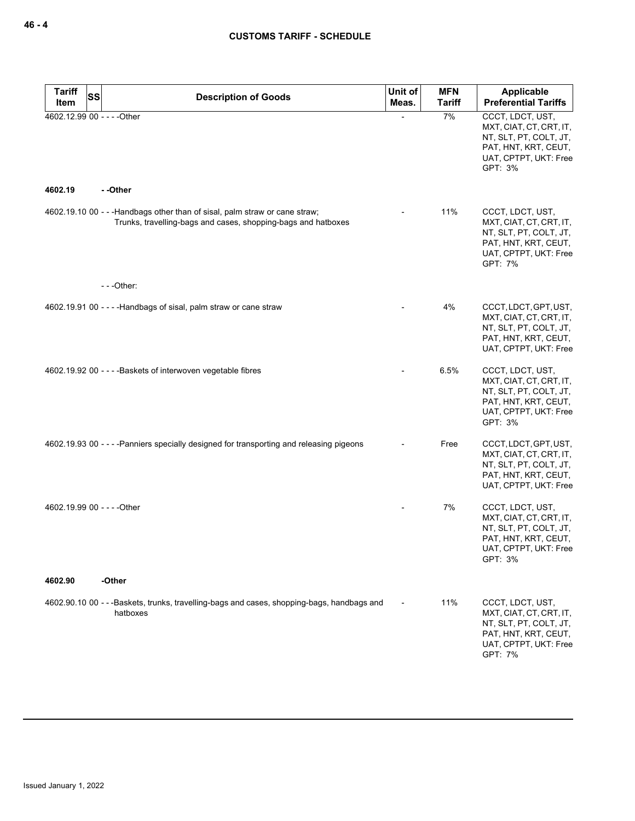| <b>Tariff</b><br><b>SS</b>             | <b>Description of Goods</b>                                                                                                                  | Unit of | <b>MFN</b>    | Applicable                                                                                                                        |
|----------------------------------------|----------------------------------------------------------------------------------------------------------------------------------------------|---------|---------------|-----------------------------------------------------------------------------------------------------------------------------------|
| Item                                   |                                                                                                                                              | Meas.   | <b>Tariff</b> | <b>Preferential Tariffs</b>                                                                                                       |
| 4602.12.99 00 - - - - Other<br>4602.19 | - -Other                                                                                                                                     |         | 7%            | CCCT, LDCT, UST,<br>MXT, CIAT, CT, CRT, IT,<br>NT, SLT, PT, COLT, JT,<br>PAT, HNT, KRT, CEUT,<br>UAT, CPTPT, UKT: Free<br>GPT: 3% |
|                                        |                                                                                                                                              |         |               |                                                                                                                                   |
|                                        | 4602.19.10 00 - - - Handbags other than of sisal, palm straw or cane straw;<br>Trunks, travelling-bags and cases, shopping-bags and hatboxes |         | 11%           | CCCT, LDCT, UST,<br>MXT, CIAT, CT, CRT, IT,<br>NT, SLT, PT, COLT, JT,<br>PAT, HNT, KRT, CEUT,<br>UAT, CPTPT, UKT: Free<br>GPT: 7% |
|                                        | $--$ Other:                                                                                                                                  |         |               |                                                                                                                                   |
|                                        | 4602.19.91 00 - - - - Handbags of sisal, palm straw or cane straw                                                                            |         | 4%            | CCCT, LDCT, GPT, UST,<br>MXT, CIAT, CT, CRT, IT,<br>NT, SLT, PT, COLT, JT,<br>PAT, HNT, KRT, CEUT,<br>UAT, CPTPT, UKT: Free       |
|                                        | 4602.19.92 00 - - - - Baskets of interwoven vegetable fibres                                                                                 |         | 6.5%          | CCCT, LDCT, UST,<br>MXT, CIAT, CT, CRT, IT,<br>NT, SLT, PT, COLT, JT,<br>PAT, HNT, KRT, CEUT,<br>UAT, CPTPT, UKT: Free<br>GPT: 3% |
|                                        | 4602.19.93 00 - - - - Panniers specially designed for transporting and releasing pigeons                                                     |         | Free          | CCCT, LDCT, GPT, UST,<br>MXT, CIAT, CT, CRT, IT,<br>NT, SLT, PT, COLT, JT,<br>PAT, HNT, KRT, CEUT,<br>UAT, CPTPT, UKT: Free       |
| 4602.19.99 00 - - - - Other            |                                                                                                                                              |         | 7%            | CCCT, LDCT, UST,<br>MXT, CIAT, CT, CRT, IT,<br>NT, SLT, PT, COLT, JT,<br>PAT, HNT, KRT, CEUT,<br>UAT, CPTPT, UKT: Free<br>GPT: 3% |
| 4602.90                                | -Other                                                                                                                                       |         |               |                                                                                                                                   |
|                                        | 4602.90.10 00 - - - Baskets, trunks, travelling-bags and cases, shopping-bags, handbags and<br>hatboxes                                      |         | 11%           | CCCT, LDCT, UST,<br>MXT, CIAT, CT, CRT, IT,<br>NT, SLT, PT, COLT, JT,<br>PAT, HNT, KRT, CEUT,<br>UAT, CPTPT, UKT: Free<br>GPT: 7% |